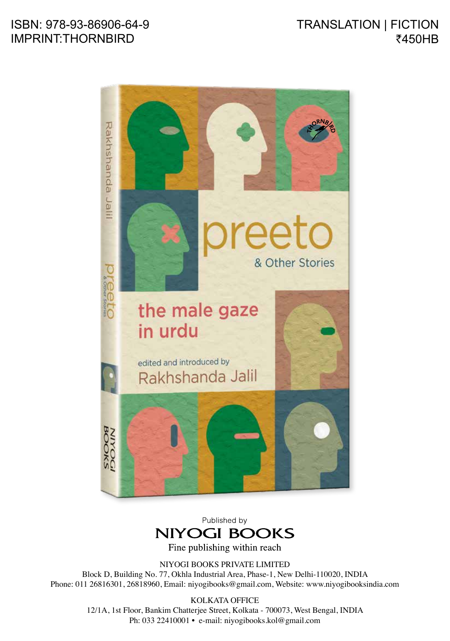## ISBN: 978-93-86906-64-9 IMPRINT:THORNBIRD

## TRANSLATION | FICTION ₹450HB



Published by **NIYOGI BOOKS** 

Fine publishing within reach

NIYOGI BOOKS PRIVATE LIMITED

Block D, Building No. 77, Okhla Industrial Area, Phase-1, New Delhi-110020, INDIA Phone: 011 26816301, 26818960, Email: niyogibooks@gmail.com, Website: www.niyogibooksindia.com

> KOLKATA OFFICE 12/1A, 1st Floor, Bankim Chatterjee Street, Kolkata - 700073, West Bengal, INDIA Ph: 033 22410001 • e-mail: niyogibooks.kol@gmail.com